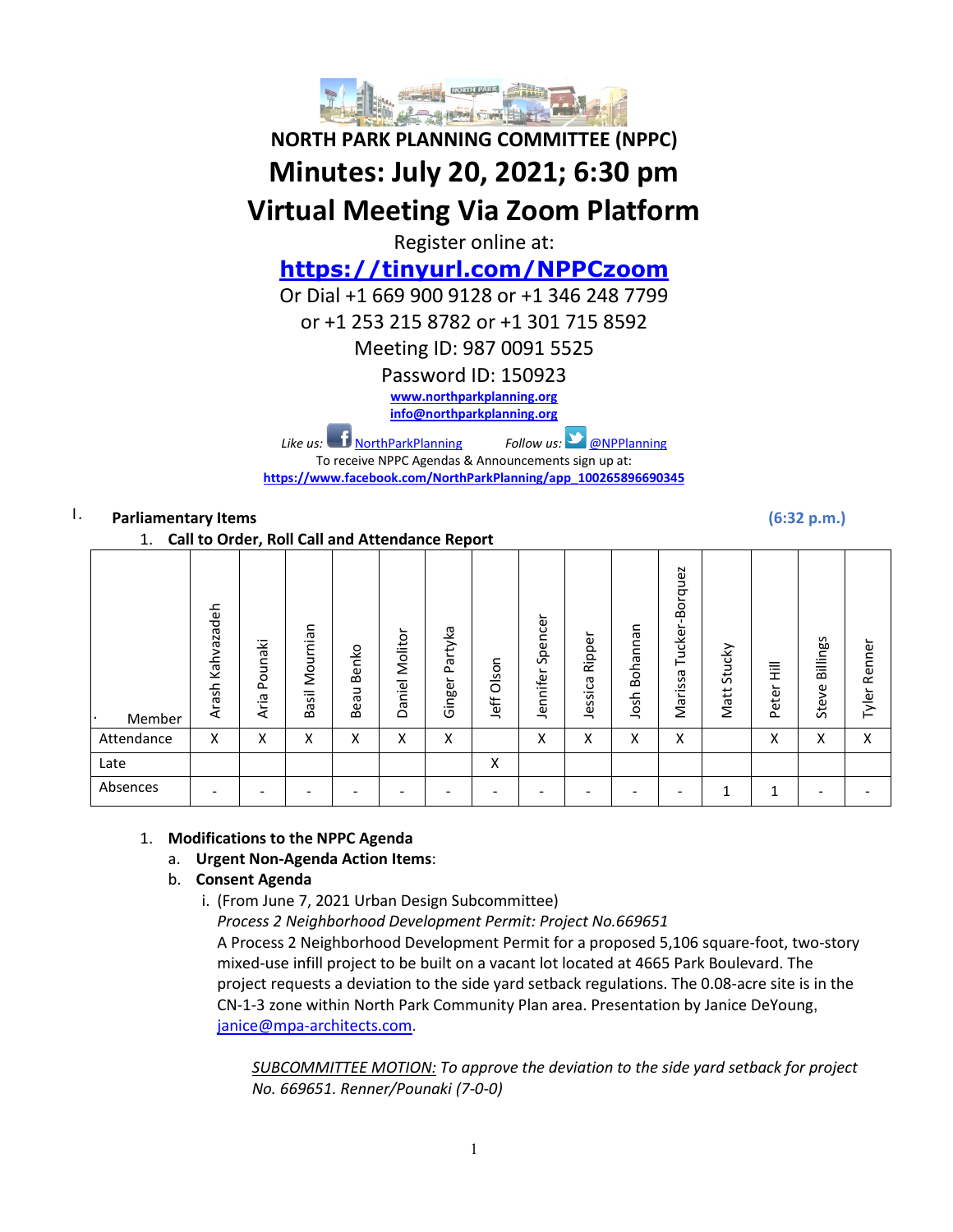

# **NORTH PARK PLANNING COMMITTEE (NPPC) Minutes: July 20, 2021; 6:30 pm Virtual Meeting Via Zoom Platform**

Register online at:

# **<https://tinyurl.com/NPPCzoom>**

Or Dial +1 669 900 9128 or +1 346 248 7799

or +1 253 215 8782 or +1 301 715 8592

Meeting ID: 987 0091 5525

Password ID: 150923

**[www.northparkplanning.org](http://www.northparkplanning.org/)**

**[info@northparkplanning.org](mailto:info@northparkplanning.org)**

*Like us:* [NorthParkPlanning](http://www.facebook.com/NorthParkPlanning) *Follow us:* **[@NPPlanning](https://twitter.com/#!/NPPlanning)** 

To receive NPPC Agendas & Announcements sign up at: **[https://www.facebook.com/NorthParkPlanning/app\\_100265896690345](https://www.facebook.com/NorthParkPlanning/app_100265896690345)**

# I. **Parliamentary Items (6:32 p.m.)**

1. **Call to Order, Roll Call and Attendance Report**

|            | $- \cdot -$<br>--, ----<br> |                 |                   |                                   |                        |                   |                |                          |                   |                  |                                                       |                |            |                   |                 |
|------------|-----------------------------|-----------------|-------------------|-----------------------------------|------------------------|-------------------|----------------|--------------------------|-------------------|------------------|-------------------------------------------------------|----------------|------------|-------------------|-----------------|
| Member     | Kahvazadeh<br>Arash         | Pounaki<br>Aria | Mournian<br>Basil | Benko<br>eau<br>$\mathbf{\Omega}$ | ؎<br>Molitor<br>Daniel | Partyka<br>Ginger | Olson<br>Jeff  | Spencer<br>Jennifer      | Ripper<br>Jessica | Bohannan<br>Josh | Borquez<br>$\blacksquare$<br>Tucker-<br>᠊ᢐ<br>Marissa | Stucky<br>Matt | Ē<br>Peter | Billings<br>Steve | Renner<br>Tyler |
| Attendance | x                           | Χ               | Χ                 | $\checkmark$<br>∧                 | Χ                      | Χ                 |                | X                        | X                 | Χ                | X                                                     |                | Χ          | Χ                 | X               |
| Late       |                             |                 |                   |                                   |                        |                   | v<br>$\lambda$ |                          |                   |                  |                                                       |                |            |                   |                 |
| Absences   |                             | -               |                   |                                   |                        |                   | -              | $\overline{\phantom{0}}$ |                   |                  |                                                       | 1              | 1<br>ᅩ     | -                 |                 |

# 1. **Modifications to the NPPC Agenda**

### a. **Urgent Non-Agenda Action Items**:

# b. **Consent Agenda**

i. (From June 7, 2021 Urban Design Subcommittee)

*Process 2 Neighborhood Development Permit: Project No.669651* A Process 2 Neighborhood Development Permit for a proposed 5,106 square-foot, two-story mixed-use infill project to be built on a vacant lot located at 4665 Park Boulevard. The project requests a deviation to the side yard setback regulations. The 0.08-acre site is in the CN-1-3 zone within North Park Community Plan area. Presentation by Janice DeYoung, [janice@mpa-architects.com.](mailto:janice@mpa-architects.com)

*SUBCOMMITTEE MOTION: To approve the deviation to the side yard setback for project No. 669651. Renner/Pounaki (7-0-0)*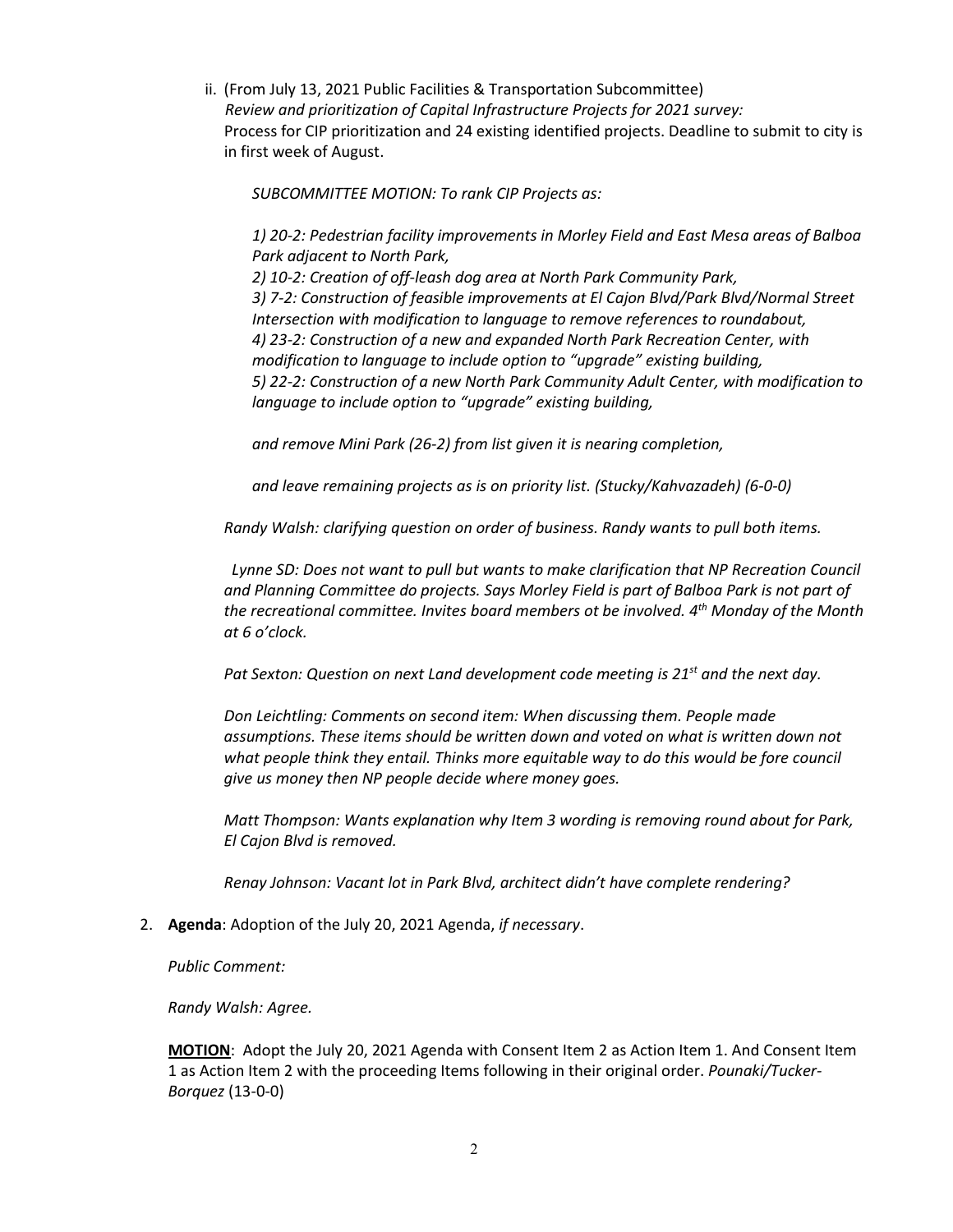ii. (From July 13, 2021 Public Facilities & Transportation Subcommittee)  *Review and prioritization of Capital Infrastructure Projects for 2021 survey:* Process for CIP prioritization and 24 existing identified projects. Deadline to submit to city is in first week of August.

*SUBCOMMITTEE MOTION: To rank CIP Projects as:*

*1) 20-2: Pedestrian facility improvements in Morley Field and East Mesa areas of Balboa Park adjacent to North Park, 2) 10-2: Creation of off-leash dog area at North Park Community Park, 3) 7-2: Construction of feasible improvements at El Cajon Blvd/Park Blvd/Normal Street Intersection with modification to language to remove references to roundabout, 4) 23-2: Construction of a new and expanded North Park Recreation Center, with modification to language to include option to "upgrade" existing building, 5) 22-2: Construction of a new North Park Community Adult Center, with modification to language to include option to "upgrade" existing building,*

*and remove Mini Park (26-2) from list given it is nearing completion,*

*and leave remaining projects as is on priority list. (Stucky/Kahvazadeh) (6-0-0)* 

*Randy Walsh: clarifying question on order of business. Randy wants to pull both items.*

 *Lynne SD: Does not want to pull but wants to make clarification that NP Recreation Council and Planning Committee do projects. Says Morley Field is part of Balboa Park is not part of the recreational committee. Invites board members ot be involved. 4th Monday of the Month at 6 o'clock.*

*Pat Sexton: Question on next Land development code meeting is 21st and the next day.*

*Don Leichtling: Comments on second item: When discussing them. People made assumptions. These items should be written down and voted on what is written down not what people think they entail. Thinks more equitable way to do this would be fore council give us money then NP people decide where money goes.*

*Matt Thompson: Wants explanation why Item 3 wording is removing round about for Park, El Cajon Blvd is removed.*

*Renay Johnson: Vacant lot in Park Blvd, architect didn't have complete rendering?* 

2. **Agenda**: Adoption of the July 20, 2021 Agenda, *if necessary*.

*Public Comment:* 

*Randy Walsh: Agree.*

**MOTION**: Adopt the July 20, 2021 Agenda with Consent Item 2 as Action Item 1. And Consent Item 1 as Action Item 2 with the proceeding Items following in their original order. *Pounaki/Tucker-Borquez* (13-0-0)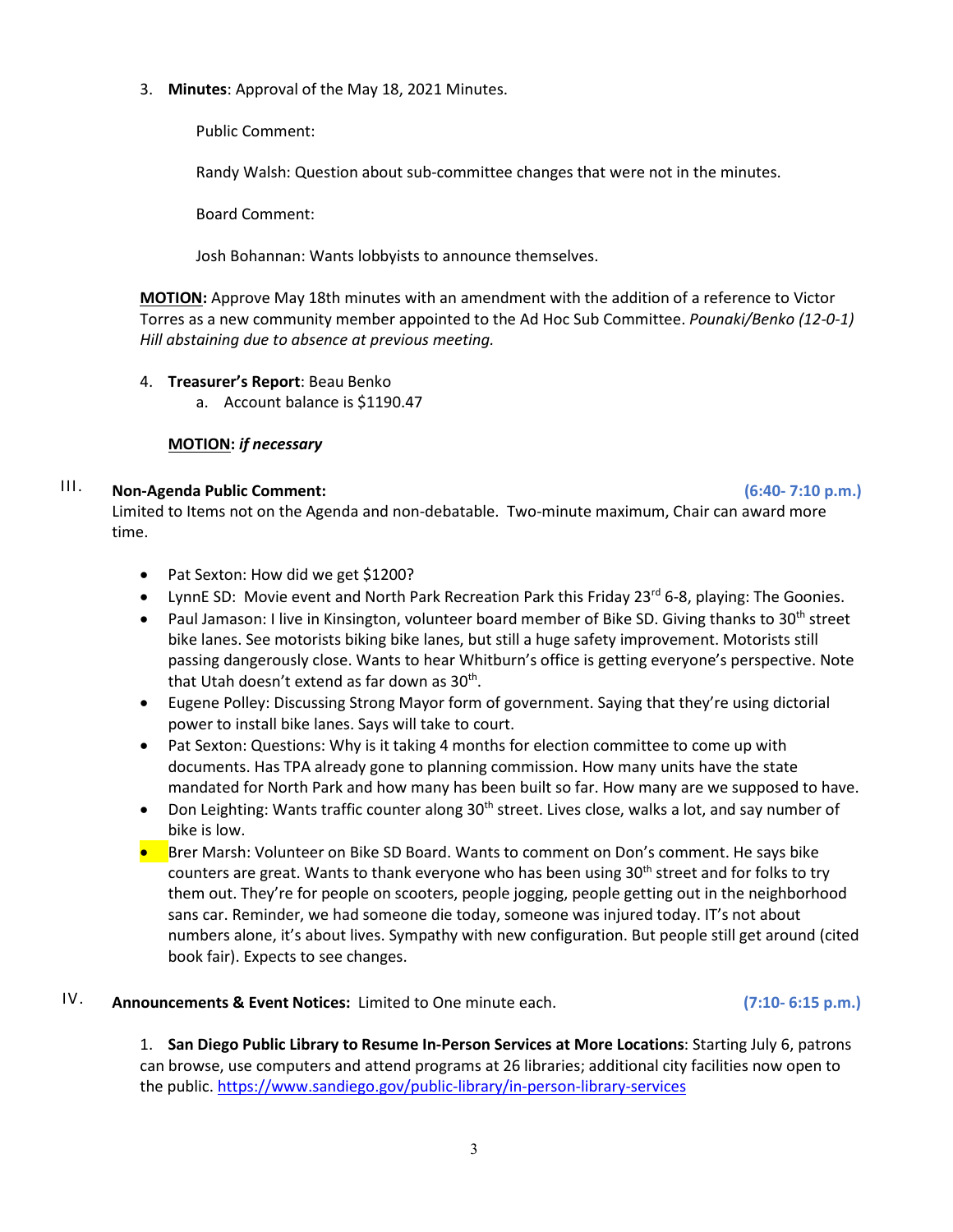3. **Minutes**: Approval of the May 18, 2021 Minutes.

Public Comment:

Randy Walsh: Question about sub-committee changes that were not in the minutes.

Board Comment:

Josh Bohannan: Wants lobbyists to announce themselves.

**MOTION:** Approve May 18th minutes with an amendment with the addition of a reference to Victor Torres as a new community member appointed to the Ad Hoc Sub Committee. *Pounaki/Benko (12-0-1) Hill abstaining due to absence at previous meeting.*

- 4. **Treasurer's Report**: Beau Benko
	- a. Account balance is \$1190.47

### **MOTION:** *if necessary*

# III. **Non-Agenda Public Comment: (6:40- 7:10 p.m.)**

Limited to Items not on the Agenda and non-debatable. Two-minute maximum, Chair can award more time.

- Pat Sexton: How did we get \$1200?
- LynnE SD: Movie event and North Park Recreation Park this Friday 23<sup>rd</sup> 6-8, playing: The Goonies.
- Paul Jamason: I live in Kinsington, volunteer board member of Bike SD. Giving thanks to 30<sup>th</sup> street bike lanes. See motorists biking bike lanes, but still a huge safety improvement. Motorists still passing dangerously close. Wants to hear Whitburn's office is getting everyone's perspective. Note that Utah doesn't extend as far down as  $30<sup>th</sup>$ .
- Eugene Polley: Discussing Strong Mayor form of government. Saying that they're using dictorial power to install bike lanes. Says will take to court.
- Pat Sexton: Questions: Why is it taking 4 months for election committee to come up with documents. Has TPA already gone to planning commission. How many units have the state mandated for North Park and how many has been built so far. How many are we supposed to have.
- Don Leighting: Wants traffic counter along 30<sup>th</sup> street. Lives close, walks a lot, and say number of bike is low.
- Brer Marsh: Volunteer on Bike SD Board. Wants to comment on Don's comment. He says bike counters are great. Wants to thank everyone who has been using 30<sup>th</sup> street and for folks to try them out. They're for people on scooters, people jogging, people getting out in the neighborhood sans car. Reminder, we had someone die today, someone was injured today. IT's not about numbers alone, it's about lives. Sympathy with new configuration. But people still get around (cited book fair). Expects to see changes.

# IV. **Announcements & Event Notices:** Limited to One minute each. **(7:10- 6:15 p.m.)**

1. **San Diego Public Library to Resume In-Person Services at More Locations**: Starting July 6, patrons can browse, use computers and attend programs at 26 libraries; additional city facilities now open to the public[. https://www.sandiego.gov/public-library/in-person-library-services](https://www.sandiego.gov/public-library/in-person-library-services)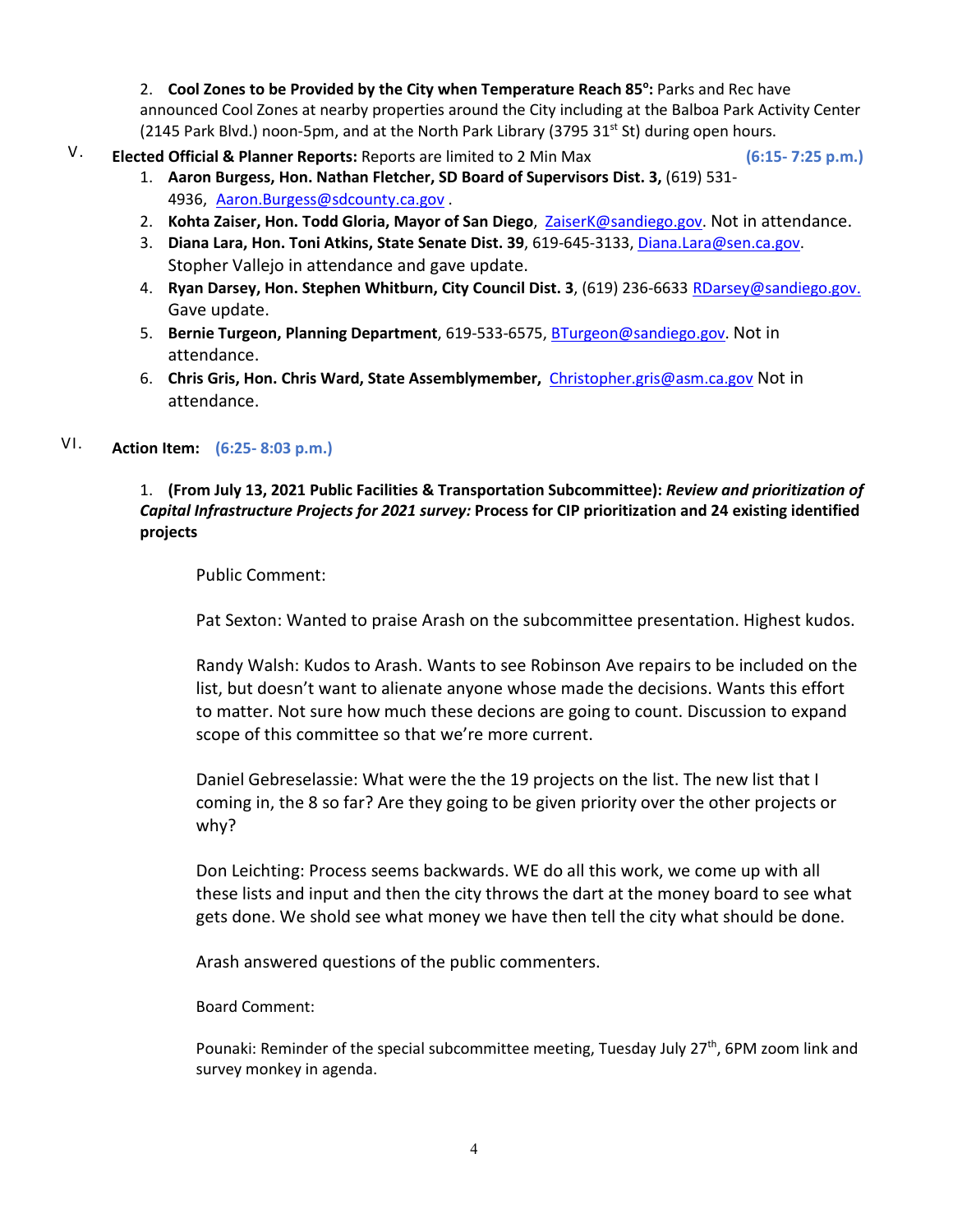2. Cool Zones to be Provided by the City when Temperature Reach 85°: Parks and Rec have announced Cool Zones at nearby properties around the City including at the Balboa Park Activity Center (2145 Park Blvd.) noon-5pm, and at the North Park Library (3795 31st St) during open hours.

V. **Elected Official & Planner Reports:** Reports are limited to 2 Min Max **(6:15- 7:25 p.m.)**

- 1. **Aaron Burgess, Hon. Nathan Fletcher, SD Board of Supervisors Dist. 3,** (619) 531- 4936, [Aaron.Burgess@sdcounty.ca.gov](mailto:Aaron.Burgess@sdcounty.ca.gov) .
- 2. **Kohta Zaiser, Hon. Todd Gloria, Mayor of San Diego**, ZaiserK@sandiego.gov. Not in attendance.
- 3. **Diana Lara, Hon. Toni Atkins, State Senate Dist. 39**, 619-645-3133, Diana.Lara@sen.ca.gov. Stopher Vallejo in attendance and gave update.
- 4. **Ryan Darsey, Hon. Stephen Whitburn, City Council Dist. 3**, (619) 236-6633 RDarsey@sandiego.gov. Gave update.
- 5. **Bernie Turgeon, Planning Department**, 619-533-6575, [BTurgeon@sandiego.gov.](mailto:BTurgeon@sandiego.gov) Not in attendance.
- 6. **Chris Gris, Hon. Chris Ward, State Assemblymember,** [Christopher.gris@asm.ca.gov](mailto:Christopher.gris@asm.ca.gov) Not in attendance.

# VI. **Action Item: (6:25- 8:03 p.m.)**

### 1. **(From July 13, 2021 Public Facilities & Transportation Subcommittee):** *Review and prioritization of Capital Infrastructure Projects for 2021 survey:* **Process for CIP prioritization and 24 existing identified projects**

Public Comment:

Pat Sexton: Wanted to praise Arash on the subcommittee presentation. Highest kudos.

Randy Walsh: Kudos to Arash. Wants to see Robinson Ave repairs to be included on the list, but doesn't want to alienate anyone whose made the decisions. Wants this effort to matter. Not sure how much these decions are going to count. Discussion to expand scope of this committee so that we're more current.

Daniel Gebreselassie: What were the the 19 projects on the list. The new list that I coming in, the 8 so far? Are they going to be given priority over the other projects or why?

Don Leichting: Process seems backwards. WE do all this work, we come up with all these lists and input and then the city throws the dart at the money board to see what gets done. We shold see what money we have then tell the city what should be done.

Arash answered questions of the public commenters.

Board Comment:

Pounaki: Reminder of the special subcommittee meeting, Tuesday July 27<sup>th</sup>, 6PM zoom link and survey monkey in agenda.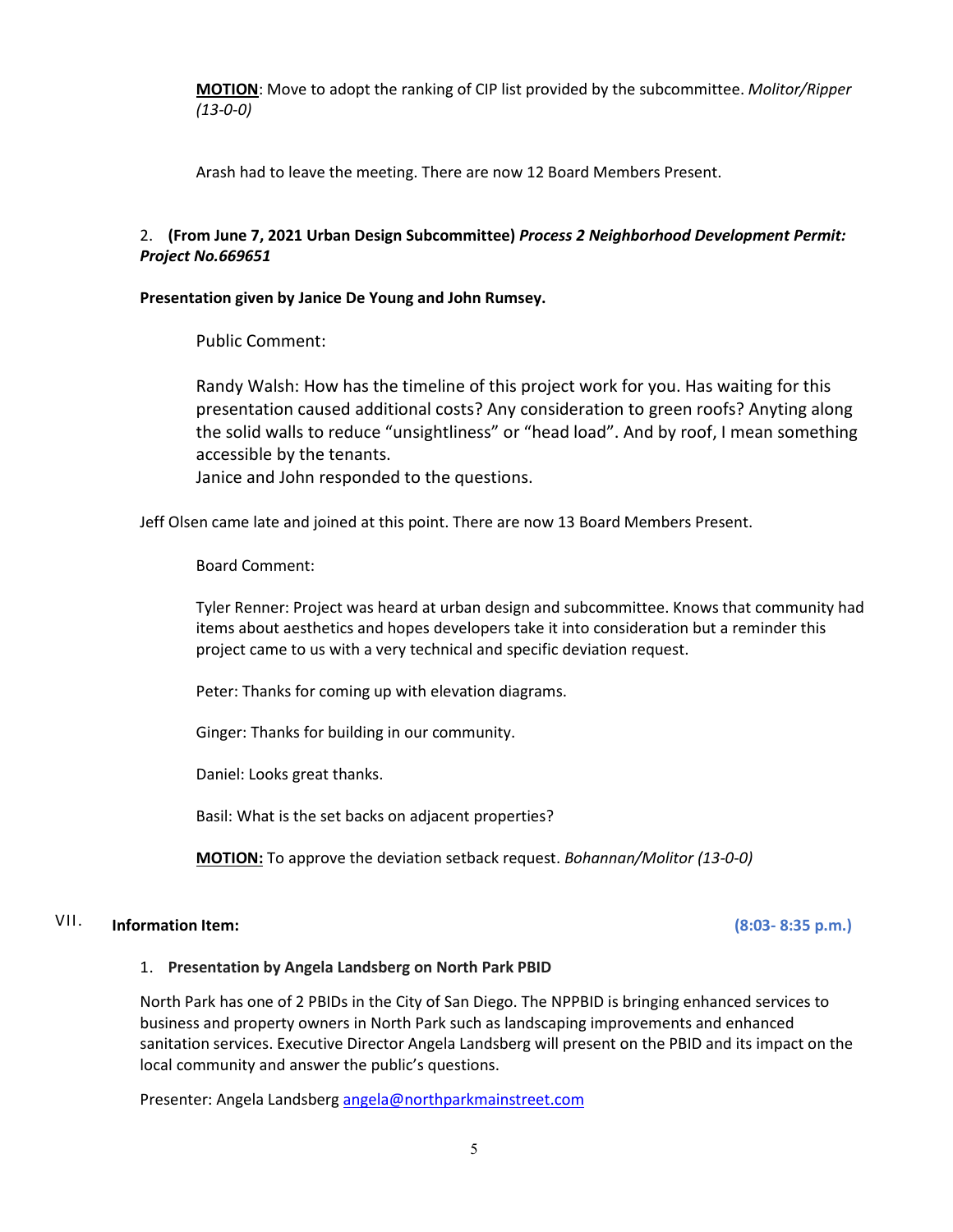**MOTION**: Move to adopt the ranking of CIP list provided by the subcommittee. *Molitor/Ripper (13-0-0)*

Arash had to leave the meeting. There are now 12 Board Members Present.

### 2. **(From June 7, 2021 Urban Design Subcommittee)** *Process 2 Neighborhood Development Permit: Project No.669651*

#### **Presentation given by Janice De Young and John Rumsey.**

Public Comment:

Randy Walsh: How has the timeline of this project work for you. Has waiting for this presentation caused additional costs? Any consideration to green roofs? Anyting along the solid walls to reduce "unsightliness" or "head load". And by roof, I mean something accessible by the tenants.

Janice and John responded to the questions.

Jeff Olsen came late and joined at this point. There are now 13 Board Members Present.

Board Comment:

Tyler Renner: Project was heard at urban design and subcommittee. Knows that community had items about aesthetics and hopes developers take it into consideration but a reminder this project came to us with a very technical and specific deviation request.

Peter: Thanks for coming up with elevation diagrams.

Ginger: Thanks for building in our community.

Daniel: Looks great thanks.

Basil: What is the set backs on adjacent properties?

**MOTION:** To approve the deviation setback request. *Bohannan/Molitor (13-0-0)*

# VII. **Information Item: (8:03- 8:35 p.m.)**

#### 1. **Presentation by Angela Landsberg on North Park PBID**

North Park has one of 2 PBIDs in the City of San Diego. The NPPBID is bringing enhanced services to business and property owners in North Park such as landscaping improvements and enhanced sanitation services. Executive Director Angela Landsberg will present on the PBID and its impact on the local community and answer the public's questions.

Presenter: Angela Landsber[g angela@northparkmainstreet.com](mailto:angela@northparkmainstreet.com)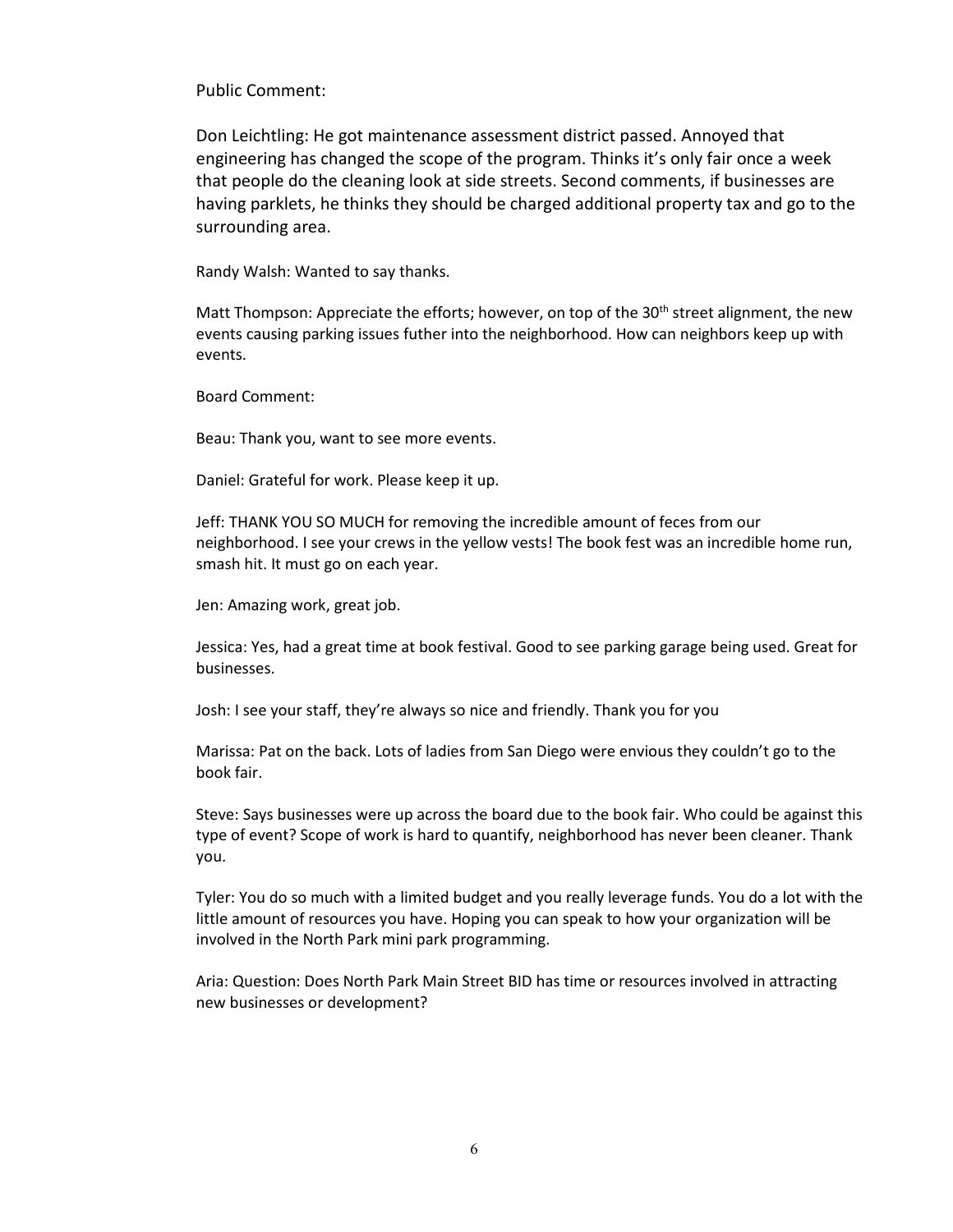Public Comment:

Don Leichtling: He got maintenance assessment district passed. Annoyed that engineering has changed the scope of the program. Thinks it's only fair once a week that people do the cleaning look at side streets. Second comments, if businesses are having parklets, he thinks they should be charged additional property tax and go to the surrounding area.

Randy Walsh: Wanted to say thanks.

Matt Thompson: Appreciate the efforts; however, on top of the  $30<sup>th</sup>$  street alignment, the new events causing parking issues futher into the neighborhood. How can neighbors keep up with events.

Board Comment:

Beau: Thank you, want to see more events.

Daniel: Grateful for work. Please keep it up.

Jeff: THANK YOU SO MUCH for removing the incredible amount of feces from our neighborhood. I see your crews in the yellow vests! The book fest was an incredible home run, smash hit. It must go on each year.

Jen: Amazing work, great job.

Jessica: Yes, had a great time at book festival. Good to see parking garage being used. Great for businesses.

Josh: I see your staff, they're always so nice and friendly. Thank you for you

Marissa: Pat on the back. Lots of ladies from San Diego were envious they couldn't go to the book fair.

Steve: Says businesses were up across the board due to the book fair. Who could be against this type of event? Scope of work is hard to quantify, neighborhood has never been cleaner. Thank you.

Tyler: You do so much with a limited budget and you really leverage funds. You do a lot with the little amount of resources you have. Hoping you can speak to how your organization will be involved in the North Park mini park programming.

Aria: Question: Does North Park Main Street BID has time or resources involved in attracting new businesses or development?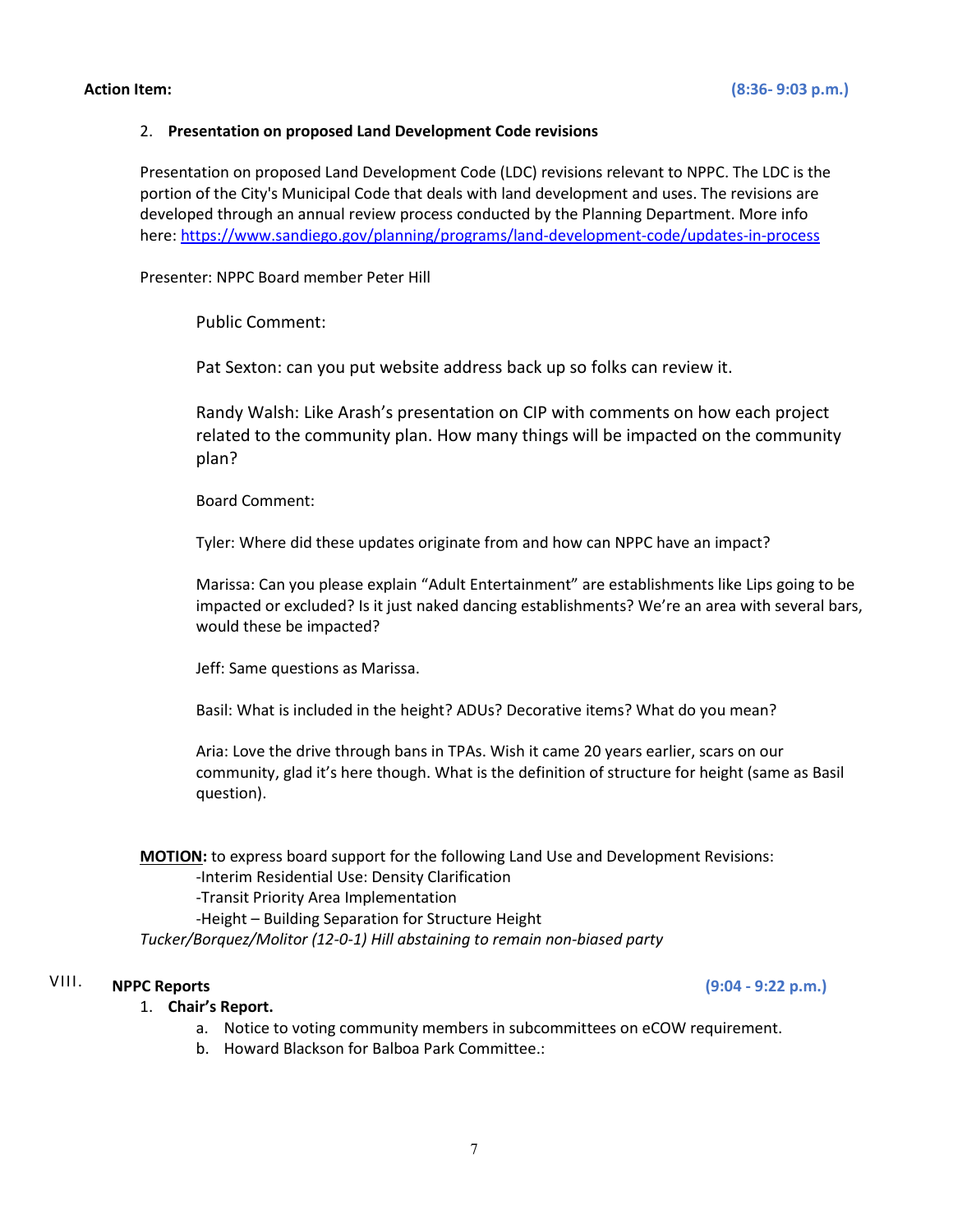#### 2. **Presentation on proposed Land Development Code revisions**

Presentation on proposed Land Development Code (LDC) revisions relevant to NPPC. The LDC is the portion of the City's Municipal Code that deals with land development and uses. The revisions are developed through an annual review process conducted by the Planning Department. More info here: <https://www.sandiego.gov/planning/programs/land-development-code/updates-in-process>

Presenter: NPPC Board member Peter Hill

Public Comment:

Pat Sexton: can you put website address back up so folks can review it.

Randy Walsh: Like Arash's presentation on CIP with comments on how each project related to the community plan. How many things will be impacted on the community plan?

Board Comment:

Tyler: Where did these updates originate from and how can NPPC have an impact?

Marissa: Can you please explain "Adult Entertainment" are establishments like Lips going to be impacted or excluded? Is it just naked dancing establishments? We're an area with several bars, would these be impacted?

Jeff: Same questions as Marissa.

Basil: What is included in the height? ADUs? Decorative items? What do you mean?

Aria: Love the drive through bans in TPAs. Wish it came 20 years earlier, scars on our community, glad it's here though. What is the definition of structure for height (same as Basil question).

**MOTION:** to express board support for the following Land Use and Development Revisions: -Interim Residential Use: Density Clarification -Transit Priority Area Implementation -Height – Building Separation for Structure Height

*Tucker/Borquez/Molitor (12-0-1) Hill abstaining to remain non-biased party*

## VIII. **NPPC Reports (9:04 - 9:22 p.m.)**

#### 1. **Chair's Report.**

- a. Notice to voting community members in subcommittees on eCOW requirement.
- b. Howard Blackson for Balboa Park Committee.: